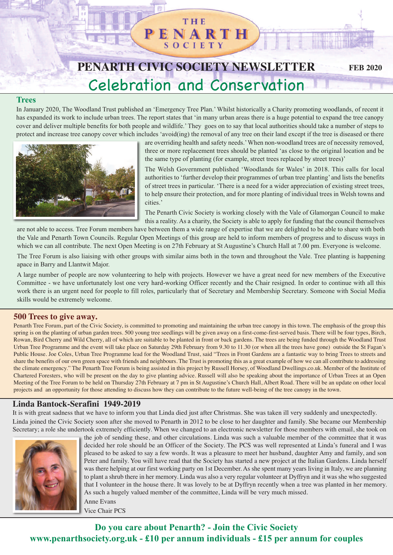## **THE** PENARTH SOCIET

# **PENARTH CIVIC SOCIETY NEWSLETTER** Celebration and Conservation

**FEB 2020**

#### **Trees**

In January 2020, The Woodland Trust published an 'Emergency Tree Plan.' Whilst historically a Charity promoting woodlands, of recent it has expanded its work to include urban trees. The report states that 'in many urban areas there is a huge potential to expand the tree canopy cover and deliver multiple benefits for both people and wildlife.'They goes on to say that local authorities should take a number of steps to protect and increase tree canopy cover which includes 'avoid(ing) the removal of any tree on their land except if the tree is diseased or there



are overriding health and safety needs.'When non-woodland trees are of necessity removed, three or more replacement trees should be planted 'as close to the original location and be the same type of planting (for example, street trees replaced by street trees)'

The Welsh Government published 'Woodlands for Wales' in 2018. This calls for local authorities to 'further develop their programmes of urban tree planting' and lists the benefits of street trees in particular. 'There is a need for a wider appreciation of existing street trees, to help ensure their protection, and for more planting of individual trees in Welsh towns and cities.'

The Penarth Civic Society is working closely with the Vale of Glamorgan Council to make this a reality. As a charity, the Society is able to apply for funding that the council themselves

are not able to access. Tree Forum members have between them a wide range of expertise that we are delighted to be able to share with both the Vale and Penarth Town Councils. Regular Open Meetings of this group are held to inform members of progress and to discuss ways in which we can all contribute. The next Open Meeting is on 27th February at St Augustine's Church Hall at 7.00 pm. Everyone is welcome.

The Tree Forum is also liaising with other groups with similar aims both in the town and throughout the Vale. Tree planting is happening apace in Barry and Llantwit Major.

A large number of people are now volunteering to help with projects. However we have a great need for new members of the Executive Committee - we have unfortunately lost one very hard-working Officer recently and the Chair resigned. In order to continue with all this work there is an urgent need for people to fill roles, particularly that of Secretary and Membership Secretary. Someone with Social Media skills would be extremely welcome.

#### **500 Trees to give away.**

Penarth Tree Forum, part of the Civic Society, is committed to promoting and maintaining the urban tree canopy in this town. The emphasis of the group this spring is on the planting of urban garden trees. 500 young tree seedlings will be given away on a first-come-first-served basis. There will be four types, Birch, Rowan, Bird Cherry and Wild Cherry, all of which are suitable to be planted in front or back gardens. The trees are being funded through the Woodland Trust Urban Tree Programme and the event will take place on Saturday 29th February from 9.30 to 11.30 (or when all the trees have gone) outside the St Fagan's Public House. Joe Coles, Urban Tree Programme lead for the Woodland Trust, said "Trees in Front Gardens are a fantastic way to bring Trees to streets and share the benefits of our own green space with friends and neighbours. The Trust is promoting this as a great example of how we can all contribute to addressing the climate emergency." The Penarth Tree Forum is being assisted in this project by Russell Horsey, of Woodland Dwellings.co.uk. Member of the Institute of Chartered Foresters, who will be present on the day to give planting advice. Russell will also be speaking about the importance of Urban Trees at an Open Meeting of the Tree Forum to be held on Thursday 27th February at 7 pm in St Augustine's Church Hall, Albert Road. There will be an update on other local projects and an opportunity for those attending to discuss how they can contribute to the future well-being of the tree canopy in the town.

### **Linda Bantock-Serafini 1949-2019**

It is with great sadness that we have to inform you that Linda died just after Christmas. She was taken ill very suddenly and unexpectedly. Linda joined the Civic Society soon after she moved to Penarth in 2012 to be close to her daughter and family. She became our Membership

Secretary; a role she undertook extremely efficiently. When we changed to an electronic newsletter for those members with email, she took on



the job of sending these, and other circulations. Linda was such a valuable member of the committee that it was decided her role should be an Officer of the Society. The PCS was well represented at Linda's funeral and I was pleased to be asked to say a few words. It was a pleasure to meet her husband, daughter Amy and family, and son Peter and family. You will have read that the Society has started a new project at the Italian Gardens. Linda herself was there helping at our first working party on 1st December. As she spent many years living in Italy, we are planning to plant a shrub there in her memory. Linda was also a very regular volunteer at Dyffryn and it was she who suggested that I volunteer in the house there. It was lovely to be at Dyffryn recently when a tree was planted in her memory. As such a hugely valued member of the committee, Linda will be very much missed. Anne Evans

Vice Chair PCS